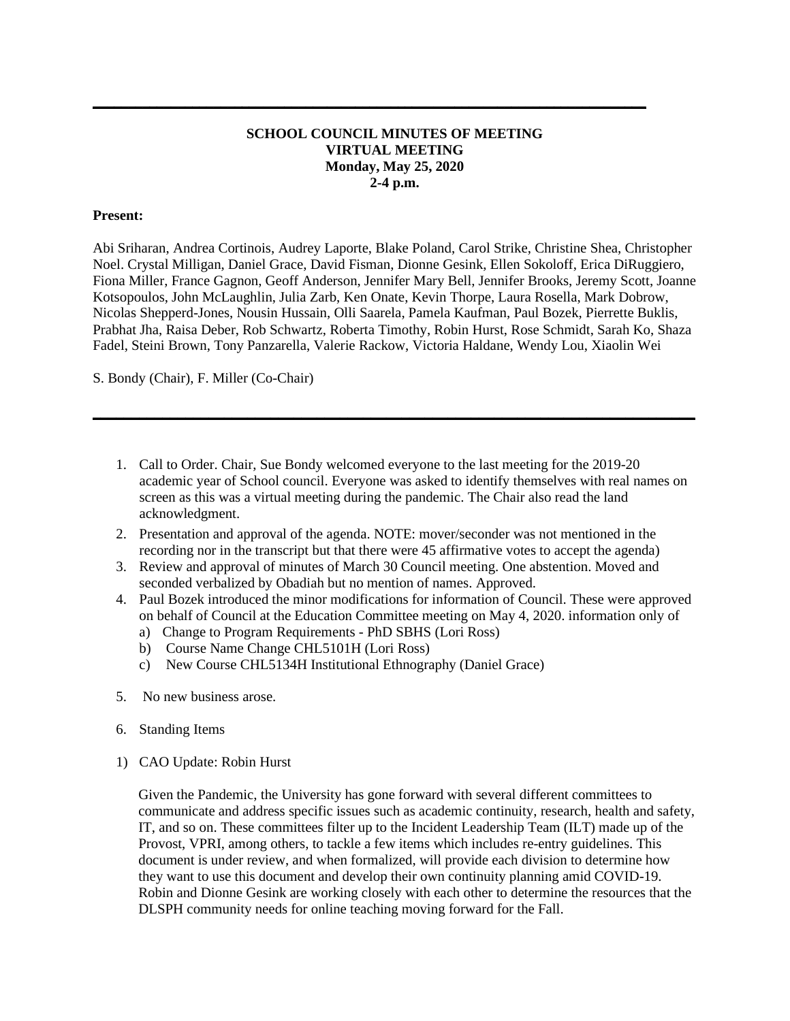## **SCHOOL COUNCIL MINUTES OF MEETING VIRTUAL MEETING Monday, May 25, 2020 2-4 p.m.**

**\_\_\_\_\_\_\_\_\_\_\_\_\_\_\_\_\_\_\_\_\_\_\_\_\_\_\_\_\_\_\_\_\_\_\_\_\_\_\_\_\_\_\_\_\_\_\_\_\_\_\_\_\_\_\_\_\_\_\_\_\_\_\_\_\_\_\_\_\_\_\_\_\_\_\_\_\_\_**

## **Present:**

Abi Sriharan, Andrea Cortinois, Audrey Laporte, Blake Poland, Carol Strike, Christine Shea, Christopher Noel. Crystal Milligan, Daniel Grace, David Fisman, Dionne Gesink, Ellen Sokoloff, Erica DiRuggiero, Fiona Miller, France Gagnon, Geoff Anderson, Jennifer Mary Bell, Jennifer Brooks, Jeremy Scott, Joanne Kotsopoulos, John McLaughlin, Julia Zarb, Ken Onate, Kevin Thorpe, Laura Rosella, Mark Dobrow, Nicolas Shepperd-Jones, Nousin Hussain, Olli Saarela, Pamela Kaufman, Paul Bozek, Pierrette Buklis, Prabhat Jha, Raisa Deber, Rob Schwartz, Roberta Timothy, Robin Hurst, Rose Schmidt, Sarah Ko, Shaza Fadel, Steini Brown, Tony Panzarella, Valerie Rackow, Victoria Haldane, Wendy Lou, Xiaolin Wei

S. Bondy (Chair), F. Miller (Co-Chair)

1. Call to Order. Chair, Sue Bondy welcomed everyone to the last meeting for the 2019-20 academic year of School council. Everyone was asked to identify themselves with real names on screen as this was a virtual meeting during the pandemic. The Chair also read the land acknowledgment.

**\_\_\_\_\_\_\_\_\_\_\_\_\_\_\_\_\_\_\_\_\_\_\_\_\_\_\_\_\_\_\_\_\_\_\_\_\_\_\_\_\_\_\_\_\_\_\_\_\_\_\_\_\_\_\_\_\_\_\_\_\_\_\_\_\_\_\_\_\_\_\_\_\_\_\_\_\_\_**

- 2. Presentation and approval of the agenda. NOTE: mover/seconder was not mentioned in the recording nor in the transcript but that there were 45 affirmative votes to accept the agenda)
- 3. Review and approval of minutes of March 30 Council meeting. One abstention. Moved and seconded verbalized by Obadiah but no mention of names. Approved.
- 4. Paul Bozek introduced the minor modifications for information of Council. These were approved on behalf of Council at the Education Committee meeting on May 4, 2020. information only of
	- a) Change to Program Requirements PhD SBHS (Lori Ross)
	- b) Course Name Change CHL5101H (Lori Ross)
	- c) New Course CHL5134H Institutional Ethnography (Daniel Grace)
- 5. No new business arose.
- 6. Standing Items
- 1) CAO Update: Robin Hurst

Given the Pandemic, the University has gone forward with several different committees to communicate and address specific issues such as academic continuity, research, health and safety, IT, and so on. These committees filter up to the Incident Leadership Team (ILT) made up of the Provost, VPRI, among others, to tackle a few items which includes re-entry guidelines. This document is under review, and when formalized, will provide each division to determine how they want to use this document and develop their own continuity planning amid COVID-19. Robin and Dionne Gesink are working closely with each other to determine the resources that the DLSPH community needs for online teaching moving forward for the Fall.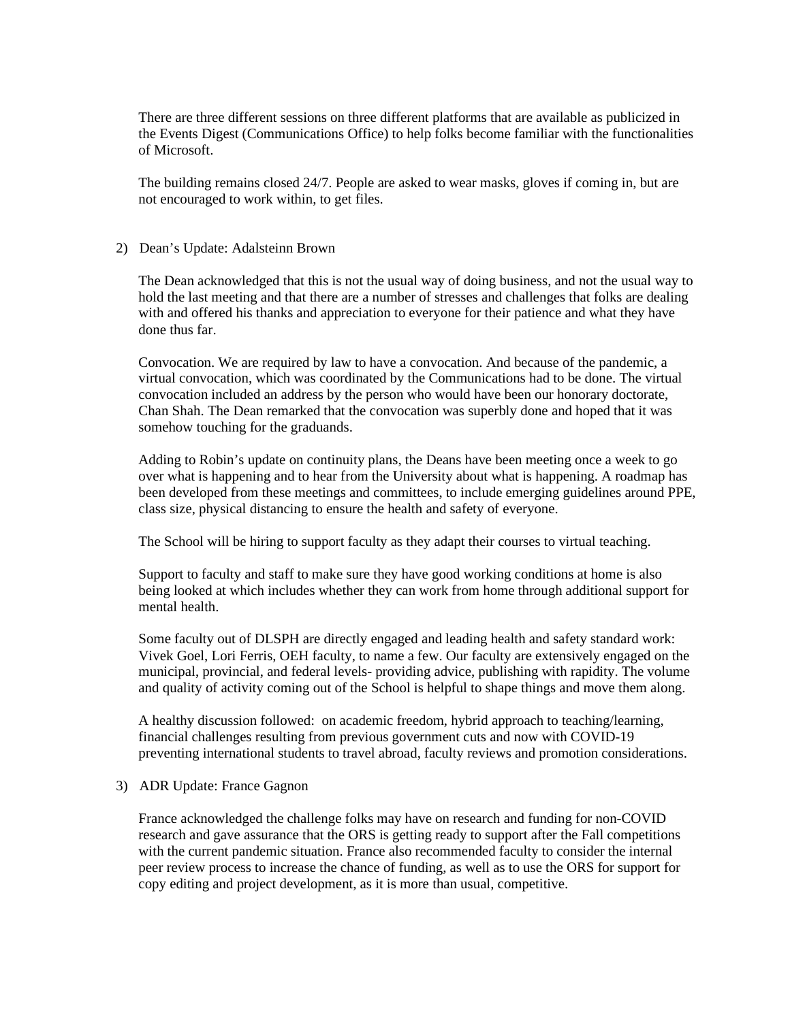There are three different sessions on three different platforms that are available as publicized in the Events Digest (Communications Office) to help folks become familiar with the functionalities of Microsoft.

The building remains closed 24/7. People are asked to wear masks, gloves if coming in, but are not encouraged to work within, to get files.

## 2) Dean's Update: Adalsteinn Brown

The Dean acknowledged that this is not the usual way of doing business, and not the usual way to hold the last meeting and that there are a number of stresses and challenges that folks are dealing with and offered his thanks and appreciation to everyone for their patience and what they have done thus far.

Convocation. We are required by law to have a convocation. And because of the pandemic, a virtual convocation, which was coordinated by the Communications had to be done. The virtual convocation included an address by the person who would have been our honorary doctorate, Chan Shah. The Dean remarked that the convocation was superbly done and hoped that it was somehow touching for the graduands.

Adding to Robin's update on continuity plans, the Deans have been meeting once a week to go over what is happening and to hear from the University about what is happening. A roadmap has been developed from these meetings and committees, to include emerging guidelines around PPE, class size, physical distancing to ensure the health and safety of everyone.

The School will be hiring to support faculty as they adapt their courses to virtual teaching.

Support to faculty and staff to make sure they have good working conditions at home is also being looked at which includes whether they can work from home through additional support for mental health.

Some faculty out of DLSPH are directly engaged and leading health and safety standard work: Vivek Goel, Lori Ferris, OEH faculty, to name a few. Our faculty are extensively engaged on the municipal, provincial, and federal levels- providing advice, publishing with rapidity. The volume and quality of activity coming out of the School is helpful to shape things and move them along.

A healthy discussion followed: on academic freedom, hybrid approach to teaching/learning, financial challenges resulting from previous government cuts and now with COVID-19 preventing international students to travel abroad, faculty reviews and promotion considerations.

## 3) ADR Update: France Gagnon

France acknowledged the challenge folks may have on research and funding for non-COVID research and gave assurance that the ORS is getting ready to support after the Fall competitions with the current pandemic situation. France also recommended faculty to consider the internal peer review process to increase the chance of funding, as well as to use the ORS for support for copy editing and project development, as it is more than usual, competitive.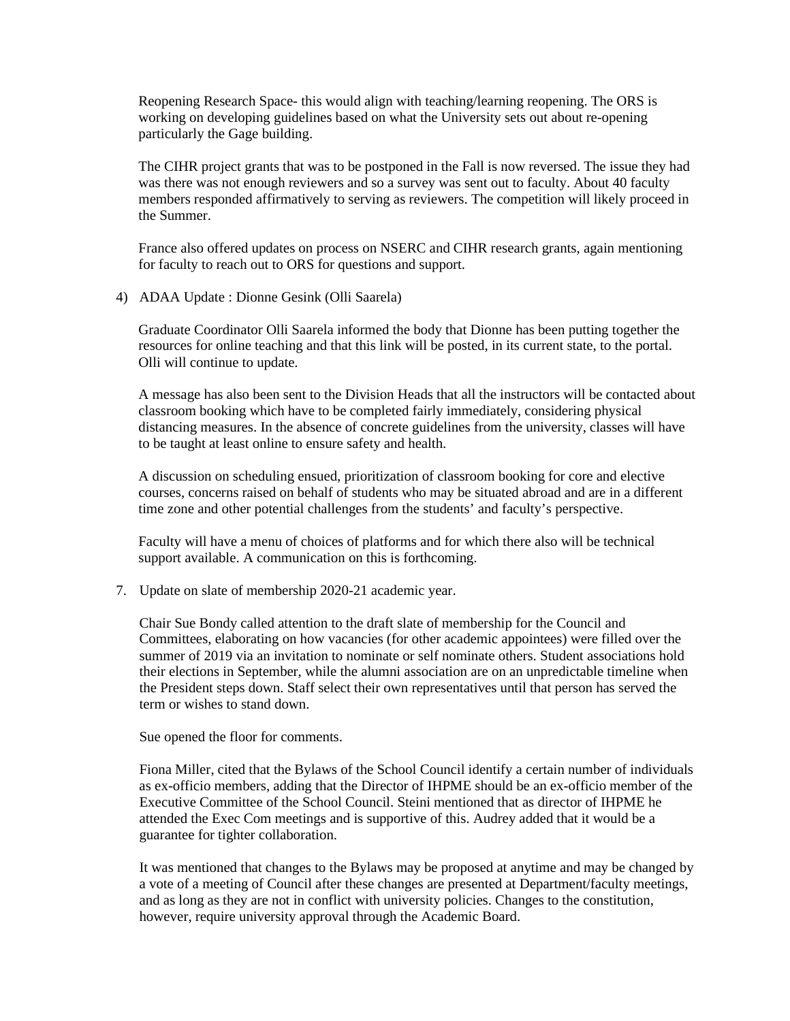Reopening Research Space- this would align with teaching/learning reopening. The ORS is working on developing guidelines based on what the University sets out about re-opening particularly the Gage building.

The CIHR project grants that was to be postponed in the Fall is now reversed. The issue they had was there was not enough reviewers and so a survey was sent out to faculty. About 40 faculty members responded affirmatively to serving as reviewers. The competition will likely proceed in the Summer.

France also offered updates on process on NSERC and CIHR research grants, again mentioning for faculty to reach out to ORS for questions and support.

4) ADAA Update : Dionne Gesink (Olli Saarela)

Graduate Coordinator Olli Saarela informed the body that Dionne has been putting together the resources for online teaching and that this link will be posted, in its current state, to the portal. Olli will continue to update.

A message has also been sent to the Division Heads that all the instructors will be contacted about classroom booking which have to be completed fairly immediately, considering physical distancing measures. In the absence of concrete guidelines from the university, classes will have to be taught at least online to ensure safety and health.

A discussion on scheduling ensued, prioritization of classroom booking for core and elective courses, concerns raised on behalf of students who may be situated abroad and are in a different time zone and other potential challenges from the students' and faculty's perspective.

Faculty will have a menu of choices of platforms and for which there also will be technical support available. A communication on this is forthcoming.

7. Update on slate of membership 2020-21 academic year.

Chair Sue Bondy called attention to the draft slate of membership for the Council and Committees, elaborating on how vacancies (for other academic appointees) were filled over the summer of 2019 via an invitation to nominate or self nominate others. Student associations hold their elections in September, while the alumni association are on an unpredictable timeline when the President steps down. Staff select their own representatives until that person has served the term or wishes to stand down.

Sue opened the floor for comments.

Fiona Miller, cited that the Bylaws of the School Council identify a certain number of individuals as ex-officio members, adding that the Director of IHPME should be an ex-officio member of the Executive Committee of the School Council. Steini mentioned that as director of IHPME he attended the Exec Com meetings and is supportive of this. Audrey added that it would be a guarantee for tighter collaboration.

It was mentioned that changes to the Bylaws may be proposed at anytime and may be changed by a vote of a meeting of Council after these changes are presented at Department/faculty meetings, and as long as they are not in conflict with university policies. Changes to the constitution, however, require university approval through the Academic Board.